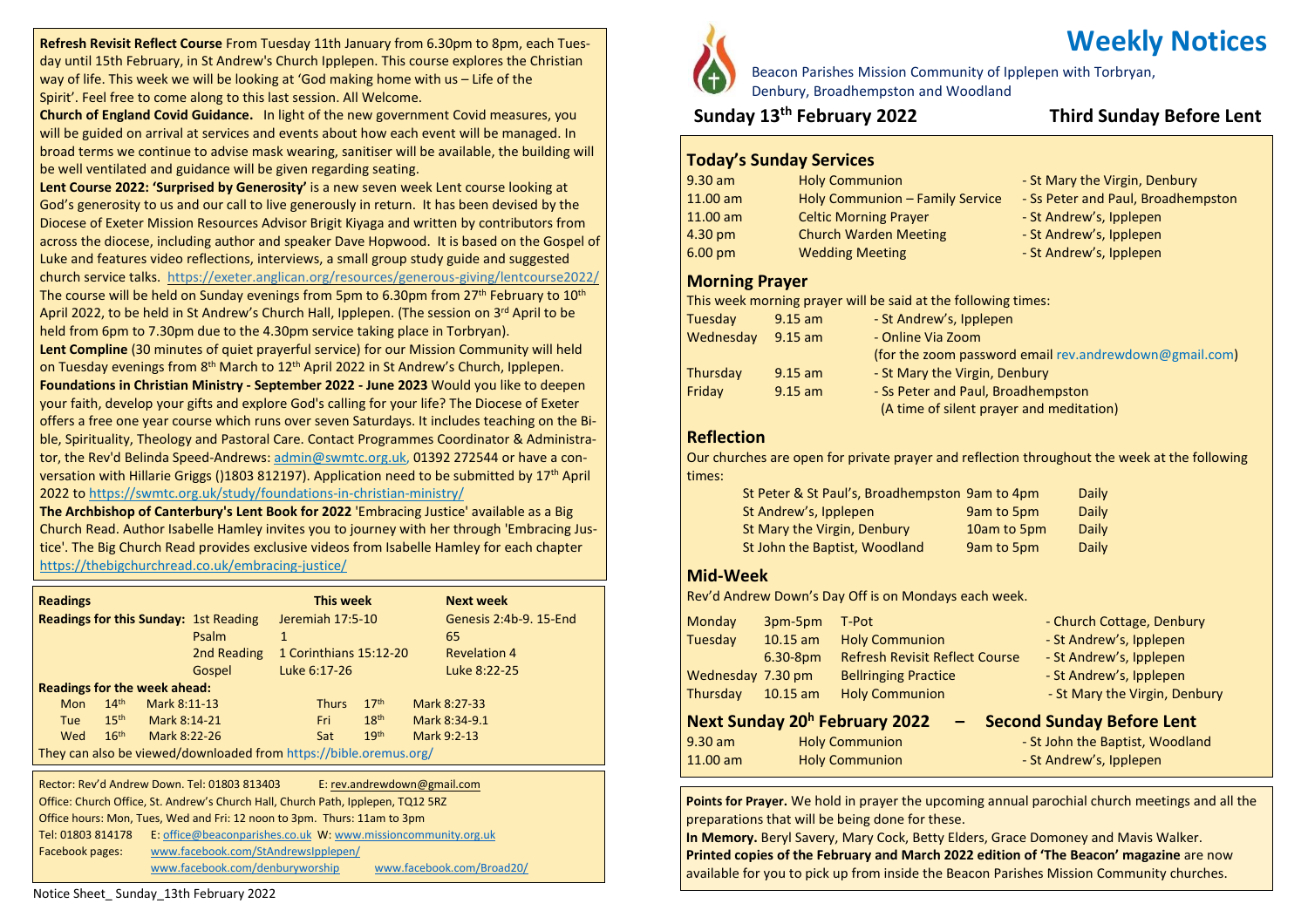**Refresh Revisit Reflect Course** From Tuesday 11th January from 6.30pm to 8pm, each Tuesday until 15th February, in St Andrew's Church Ipplepen. This course explores the Christian way of life. This week we will be looking at 'God making home with us – Life of the Spirit'. Feel free to come along to this last session. All Welcome.

**Church of England Covid Guidance.** In light of the new government Covid measures, you will be guided on arrival at services and events about how each event will be managed. In broad terms we continue to advise mask wearing, sanitiser will be available, the building will be well ventilated and guidance will be given regarding seating.

**Lent Course 2022: 'Surprised by Generosity'** is a new seven week Lent course looking at God's generosity to us and our call to live generously in return. It has been devised by the Diocese of Exeter Mission Resources Advisor Brigit Kiyaga and written by contributors from across the diocese, including author and speaker Dave Hopwood. It is based on the Gospel of Luke and features video reflections, interviews, a small group study guide and suggested church service talks. <https://exeter.anglican.org/resources/generous-giving/lentcourse2022/> The course will be held on Sunday evenings from 5pm to 6.30pm from  $27<sup>th</sup>$  February to  $10<sup>th</sup>$ April 2022, to be held in St Andrew's Church Hall, Ipplepen. (The session on 3<sup>rd</sup> April to be held from 6pm to 7.30pm due to the 4.30pm service taking place in Torbryan).

**Lent Compline** (30 minutes of quiet prayerful service) for our Mission Community will held on Tuesday evenings from 8<sup>th</sup> March to 12<sup>th</sup> April 2022 in St Andrew's Church, Ipplepen. **Foundations in Christian Ministry - September 2022 - June 2023** Would you like to deepen your faith, develop your gifts and explore God's calling for your life? The Diocese of Exeter offers a free one year course which runs over seven Saturdays. It includes teaching on the Bible, Spirituality, Theology and Pastoral Care. Contact Programmes Coordinator & Administrator, the Rev'd Belinda Speed-Andrews: [admin@swmtc.org.uk,](mailto:admin@swmtc.org.uk) 01392 272544 or have a conversation with Hillarie Griggs ()1803 812197). Application need to be submitted by 17th April 2022 to <https://swmtc.org.uk/study/foundations-in-christian-ministry/>

**The Archbishop of Canterbury's Lent Book for 2022** 'Embracing Justice' available as a Big Church Read. Author Isabelle Hamley invites you to journey with her through 'Embracing Justice'. The Big Church Read provides exclusive videos from Isabelle Hamley for each chapter <https://thebigchurchread.co.uk/embracing-justice/>

| <b>Readings</b>                                                   |                  |              |                                              |                  | This week    |                        | <b>Next week</b>       |
|-------------------------------------------------------------------|------------------|--------------|----------------------------------------------|------------------|--------------|------------------------|------------------------|
|                                                                   |                  |              | <b>Readings for this Sunday: 1st Reading</b> | Jeremiah 17:5-10 |              |                        | Genesis 2:4b-9, 15-End |
|                                                                   |                  |              | Psalm                                        | 1                |              |                        | 65                     |
|                                                                   |                  |              | 2nd Reading                                  |                  |              | 1 Corinthians 15:12-20 | <b>Revelation 4</b>    |
|                                                                   |                  |              | Gospel                                       |                  | Luke 6:17-26 |                        | Luke 8:22-25           |
| <b>Readings for the week ahead:</b>                               |                  |              |                                              |                  |              |                        |                        |
| <b>Mon</b>                                                        | 14 <sup>th</sup> | Mark 8:11-13 |                                              |                  | <b>Thurs</b> | 17 <sup>th</sup>       | Mark 8:27-33           |
| <b>Tue</b>                                                        | 15 <sup>th</sup> | Mark 8:14-21 |                                              |                  | Fri          | 18 <sup>th</sup>       | Mark 8:34-9.1          |
| Wed                                                               | 16 <sup>th</sup> | Mark 8:22-26 |                                              |                  | Sat          | 19 <sup>th</sup>       | Mark 9:2-13            |
| They can also be viewed/downloaded from https://bible.oremus.org/ |                  |              |                                              |                  |              |                        |                        |

 Office hours: Mon, Tues, Wed and Fri: 12 noon to 3pm. Thurs: 11am to 3pm Rector: Rev'd Andrew Down. Tel: 01803 813403 E: [rev.andrewdown@gmail.com](mailto:rev.andrewdown@gmail.com) Office: Church Office, St. Andrew's Church Hall, Church Path, Ipplepen, TQ12 5RZ Tel: 01803 814178 E: [office@beaconparishes.co.uk](mailto:office@beaconparishes.co.uk) W: [www.missioncommunity.org.uk](http://www.missioncommunity.org.uk/) Facebook pages: [www.facebook.com/StAndrewsIpplepen/](http://www.facebook.com/StAndrewsIpplepen/) [www.facebook.com/denburyworship](http://www.facebook.com/denburyworship) [www.facebook.com/Broad20/](http://www.facebook.com/Broad20/)

Beacon Parishes Mission Community of Ipplepen with Torbryan, Denbury, Broadhempston and Woodland

# **Sunday 13th February 2022 Third Sunday Before Lent**

# **Today's Sunday Services**

| $9.30$ am          | <b>Holy Communion</b>           | - St Mary the Virgin, Denbury      |
|--------------------|---------------------------------|------------------------------------|
| $11.00$ am         | Holy Communion - Family Service | - Ss Peter and Paul, Broadhempston |
| $11.00$ am         | <b>Celtic Morning Prayer</b>    | - St Andrew's, Ipplepen            |
| 4.30 <sub>pm</sub> | <b>Church Warden Meeting</b>    | - St Andrew's, Ipplepen            |
| $6.00$ pm          | <b>Wedding Meeting</b>          | - St Andrew's, Ipplepen            |
|                    |                                 |                                    |

#### **Morning Prayer**

This week morning prayer will be said at the following times:

| Tuesday         | $9.15$ am | - St Andrew's, Ipplepen                                |
|-----------------|-----------|--------------------------------------------------------|
| Wednesday       | $9.15$ am | - Online Via Zoom                                      |
|                 |           | (for the zoom password email rev.andrewdown@gmail.com) |
| <b>Thursday</b> | $9.15$ am | - St Mary the Virgin, Denbury                          |
| Friday          | $9.15$ am | - Ss Peter and Paul, Broadhempston                     |
|                 |           | (A time of silent prayer and meditation)               |

# **Reflection**

Our churches are open for private prayer and reflection throughout the week at the following times:

| St Peter & St Paul's, Broadhempston 9am to 4pm |             | Daily |
|------------------------------------------------|-------------|-------|
| St Andrew's, Ipplepen                          | 9am to 5pm  | Daily |
| St Mary the Virgin, Denbury                    | 10am to 5pm | Daily |
| St John the Baptist, Woodland                  | 9am to 5pm  | Daily |

### **Mid-Week**

Rev'd Andrew Down's Day Off is on Mondays each week.

|                       |            | Next Sunday 20 <sup>h</sup> February 2022 | <b>Second Sunday Before Lent</b> |  |
|-----------------------|------------|-------------------------------------------|----------------------------------|--|
| Thursday              | $10.15$ am | <b>Holy Communion</b>                     | - St Mary the Virgin, Denbury    |  |
| Wednesday 7.30 pm     |            | <b>Bellringing Practice</b>               | - St Andrew's, Ipplepen          |  |
|                       | $6.30-8pm$ | <b>Refresh Revisit Reflect Course</b>     | - St Andrew's, Ipplepen          |  |
| Tuesday<br>$10.15$ am |            | <b>Holy Communion</b>                     | - St Andrew's, Ipplepen          |  |
| <b>Monday</b>         | 3pm-5pm    | T-Pot                                     | - Church Cottage, Denbury        |  |

| .30 am     | <b>Holy Communion</b> |
|------------|-----------------------|
| $.1.00$ am | <b>Holy Communion</b> |

- St John the Baptist, Woodland

- St Andrew's, Ipplepen

**Points for Prayer.** We hold in prayer the upcoming annual parochial church meetings and all the preparations that will be being done for these.

**In Memory.** Beryl Savery, Mary Cock, Betty Elders, Grace Domoney and Mavis Walker. **Printed copies of the February and March 2022 edition of 'The Beacon' magazine** are now available for you to pick up from inside the Beacon Parishes Mission Community churches.

the throne, 6th February 1952, following the death of her father King George VI.

#### Notice Sheet\_ Sunday\_13th February 2022

# **Weekly Notices**